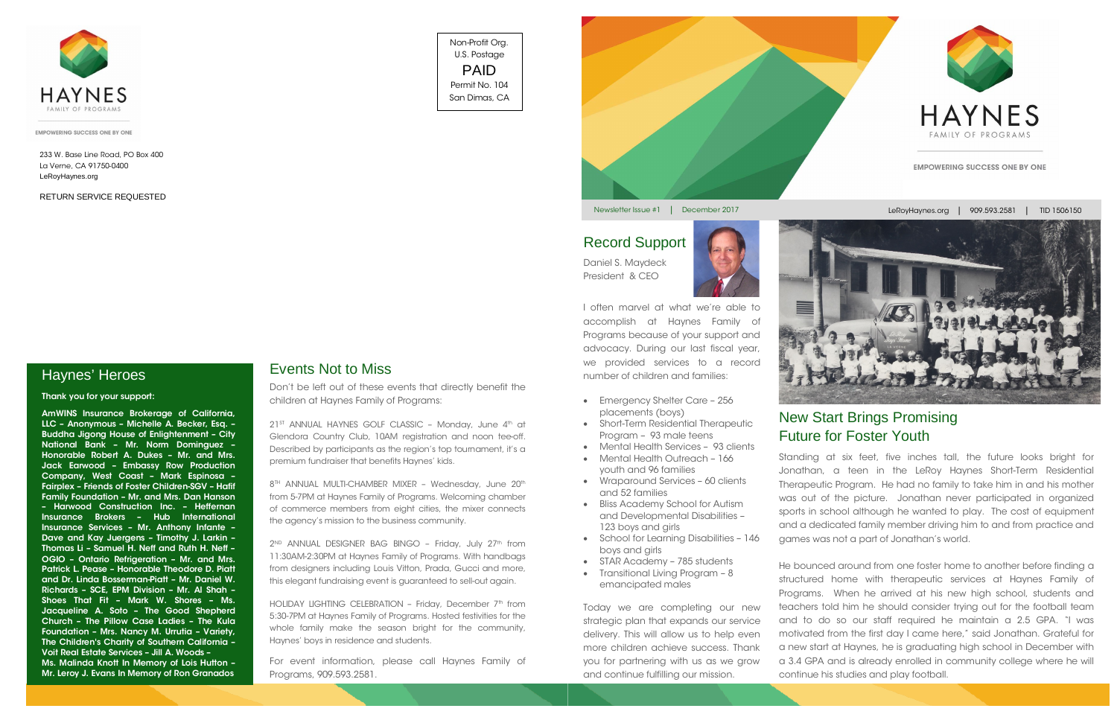

I often marvel at what we're able to accomplish at Haynes Family of Programs because of your support and advocacy. During our last fiscal year, we provided services to a record number of children and families:

- Emergency Shelter Care 256 placements (boys)
- Short-Term Residential Therapeutic Program – 93 male teens
- Mental Health Services 93 clients • Mental Health Outreach - 166 youth and 96 families
- Wraparound Services 60 clients and 52 families
- Bliss Academy School for Autism and Developmental Disabilities – 123 boys and girls
- School for Learning Disabilities 146 boys and girls
- STAR Academy 785 students
- Transitional Living Program 8 emancipated males

Today we are completing our new strategic plan that expands our service delivery. This will allow us to help even more children achieve success. Thank you for partnering with us as we grow and continue fulfilling our mission.

Standing at six feet, five inches tall, the future looks bright for Jonathan, a teen in the LeRoy Haynes Short-Term Residential Therapeutic Program. He had no family to take him in and his mother was out of the picture. Jonathan never participated in organized sports in school although he wanted to play. The cost of equipment and a dedicated family member driving him to and from practice and games was not a part of Jonathan's world.

 $21^{ST}$  ANNUAL HAYNES GOLF CLASSIC - Monday, June  $4^{th}$  at Glendora Country Club, 10AM registration and noon tee-off. Described by participants as the region's top tournament, it's a premium fundraiser that benefits Haynes' kids.

8<sup>TH</sup> ANNUAL MULTI-CHAMBER MIXER - Wednesday, June 20<sup>th</sup> from 5-7PM at Haynes Family of Programs. Welcoming chamber of commerce members from eight cities, the mixer connects the agency's mission to the business community.

2<sup>ND</sup> ANNUAL DESIGNER BAG BINGO - Friday, July 27<sup>th</sup> from 11:30AM-2:30PM at Haynes Family of Programs. With handbags from designers including Louis Vitton, Prada, Gucci and more, this elegant fundraising event is guaranteed to sell-out again.

HOLIDAY LIGHTING CELEBRATION - Friday, December 7<sup>th</sup> from 5:30-7PM at Haynes Family of Programs. Hosted festivities for the whole family make the season bright for the community, Haynes' boys in residence and students.

He bounced around from one foster home to another before finding a structured home with therapeutic services at Haynes Family of Programs. When he arrived at his new high school, students and teachers told him he should consider trying out for the football team and to do so our staff required he maintain a 2.5 GPA. "I was motivated from the first day I came here," said Jonathan. Grateful for a new start at Haynes, he is graduating high school in December with a 3.4 GPA and is already enrolled in community college where he will continue his studies and play football.

# New Start Brings Promising Future for Foster Youth

Haynes' Heroes

Don't be left out of these events that directly benefit the children at Haynes Family of Programs:

For event information, please call Haynes Family of Programs, 909.593.2581.

#### Events Not to Miss

#### Record Support

Thank you for your support:

AmWINS Insurance Brokerage of California, LLC – Anonymous – Michelle A. Becker, Esq. – Buddha Jigong House of Enlightenment – City National Bank – Mr. Norm Dominguez – Honorable Robert A. Dukes – Mr. and Mrs. Jack Earwood – Embassy Row Production Company, West Coast – Mark Espinosa – Fairplex – Friends of Foster Children-SGV – Hafif Family Foundation – Mr. and Mrs. Dan Hanson – Harwood Construction Inc. – Heffernan Insurance Brokers – Hub International Insurance Services – Mr. Anthony Infante – Dave and Kay Juergens – Timothy J. Larkin – Thomas Li – Samuel H. Neff and Ruth H. Neff – OGIO – Ontario Refrigeration – Mr. and Mrs. Patrick L. Pease – Honorable Theodore D. Piatt and Dr. Linda Bosserman-Piatt – Mr. Daniel W. Richards – SCE, EPM Division – Mr. Al Shah – Shoes That Fit – Mark W. Shores – Ms. Jacqueline A. Soto – The Good Shepherd Church – The Pillow Case Ladies – The Kula Foundation – Mrs. Nancy M. Urrutia – Variety, The Children's Charity of Southern California – Voit Real Estate Services – Jill A. Woods – Ms. Malinda Knott In Memory of Lois Hutton – Mr. Leroy J. Evans In Memory of Ron Granados

Newsletter Issue #1 | December 2017

#### Non-Profit Org. U.S. Postage PAID Permit No. 104 San Dimas, CA





233 W. Base Line Road, PO Box 400 La Verne, CA 91750-0400 LeRoyHaynes.org

RETURN SERVICE REQUESTED

Daniel S. Maydeck President & CEO